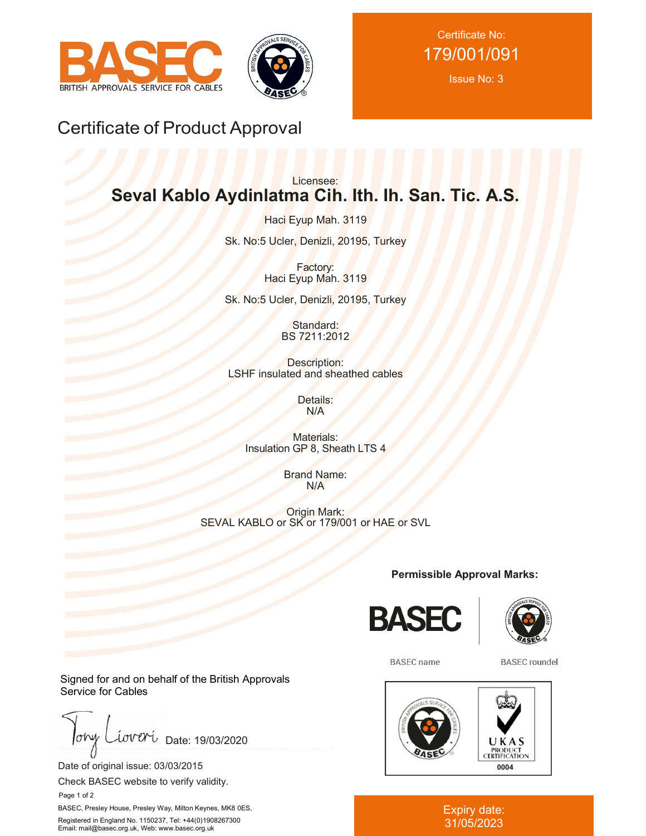



Certificate No: 179/001/091

Issue No: 3

## Certificate of Product Approval

## Licensee: **Seval Kablo Aydinlatma Cih. Ith. Ih. San. Tic. A.S.**

Haci Eyup Mah. 3119 Sk. No:5 Ucler, Denizli, 20195, Turkey

> Factory: Haci Eyup Mah. 3119

Sk. No:5 Ucler, Denizli, 20195, Turkey

Standard: BS 7211:2012

Description: LSHF insulated and sheathed cables

> Details: N/A

Materials: Insulation GP 8, Sheath LTS 4

> Brand Name: N/A

Origin Mark: SEVAL KABLO or SK or 179/001 or HAE or SVL

**Permissible Approval Marks:**





**BASEC** name

**BASEC** roundel



Expiry date: 31/05/2023

Signed for and on behalf of the British Approvals Service for Cables

 $low$ iova Date: 19/03/2020

Date of original issue: 03/03/2015

Check BASEC website to verify validity.

Page 1 of 2

BASEC, Presley House, Presley Way, Milton Keynes, MK8 0ES, Registered in England No. 1150237, Tel: +44(0)1908267300 Email: mail@basec.org.uk, Web: www.basec.org.uk